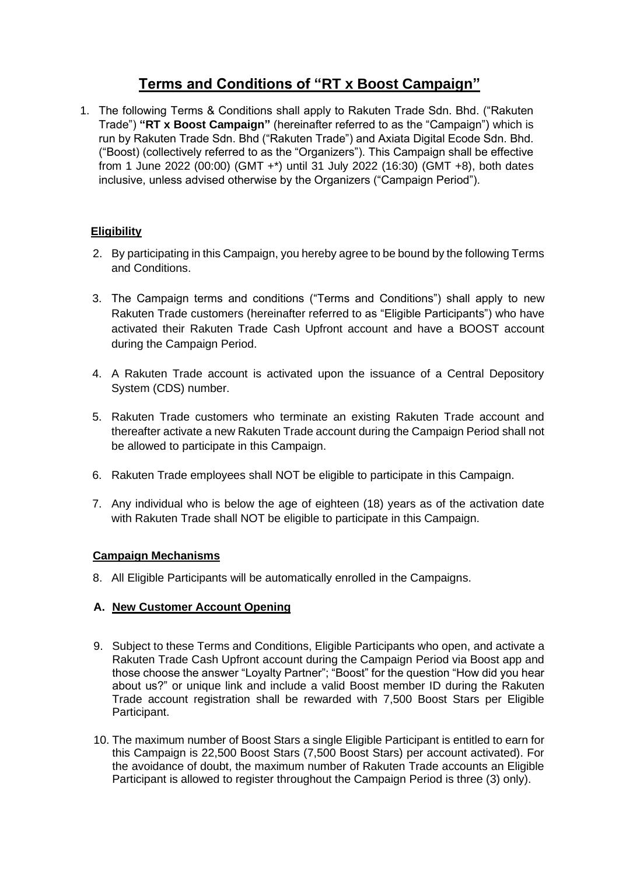# **Terms and Conditions of "RT x Boost Campaign"**

1. The following Terms & Conditions shall apply to Rakuten Trade Sdn. Bhd. ("Rakuten Trade") **"RT x Boost Campaign"** (hereinafter referred to as the "Campaign") which is run by Rakuten Trade Sdn. Bhd ("Rakuten Trade") and Axiata Digital Ecode Sdn. Bhd. ("Boost) (collectively referred to as the "Organizers"). This Campaign shall be effective from 1 June 2022 (00:00) (GMT +\*) until 31 July 2022 (16:30) (GMT +8), both dates inclusive, unless advised otherwise by the Organizers ("Campaign Period").

## **Eligibility**

- 2. By participating in this Campaign, you hereby agree to be bound by the following Terms and Conditions.
- 3. The Campaign terms and conditions ("Terms and Conditions") shall apply to new Rakuten Trade customers (hereinafter referred to as "Eligible Participants") who have activated their Rakuten Trade Cash Upfront account and have a BOOST account during the Campaign Period.
- 4. A Rakuten Trade account is activated upon the issuance of a Central Depository System (CDS) number.
- 5. Rakuten Trade customers who terminate an existing Rakuten Trade account and thereafter activate a new Rakuten Trade account during the Campaign Period shall not be allowed to participate in this Campaign.
- 6. Rakuten Trade employees shall NOT be eligible to participate in this Campaign.
- 7. Any individual who is below the age of eighteen (18) years as of the activation date with Rakuten Trade shall NOT be eligible to participate in this Campaign.

## **Campaign Mechanisms**

8. All Eligible Participants will be automatically enrolled in the Campaigns.

## **A. New Customer Account Opening**

- 9. Subject to these Terms and Conditions, Eligible Participants who open, and activate a Rakuten Trade Cash Upfront account during the Campaign Period via Boost app and those choose the answer "Loyalty Partner"; "Boost" for the question "How did you hear about us?" or unique link and include a valid Boost member ID during the Rakuten Trade account registration shall be rewarded with 7,500 Boost Stars per Eligible Participant.
- 10. The maximum number of Boost Stars a single Eligible Participant is entitled to earn for this Campaign is 22,500 Boost Stars (7,500 Boost Stars) per account activated). For the avoidance of doubt, the maximum number of Rakuten Trade accounts an Eligible Participant is allowed to register throughout the Campaign Period is three (3) only).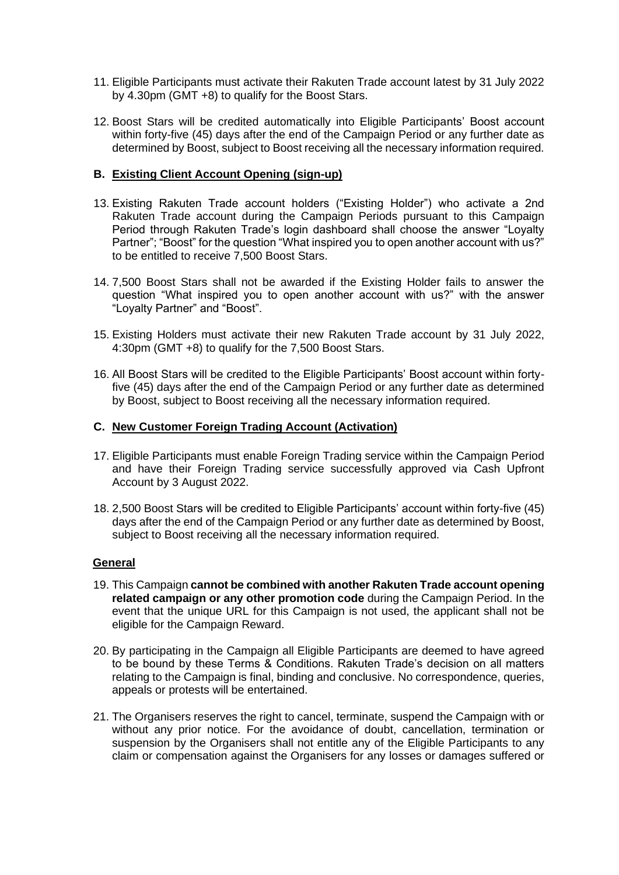- 11. Eligible Participants must activate their Rakuten Trade account latest by 31 July 2022 by 4.30pm (GMT +8) to qualify for the Boost Stars.
- 12. Boost Stars will be credited automatically into Eligible Participants' Boost account within forty-five (45) days after the end of the Campaign Period or any further date as determined by Boost, subject to Boost receiving all the necessary information required.

### **B. Existing Client Account Opening (sign-up)**

- 13. Existing Rakuten Trade account holders ("Existing Holder") who activate a 2nd Rakuten Trade account during the Campaign Periods pursuant to this Campaign Period through Rakuten Trade's login dashboard shall choose the answer "Loyalty Partner"; "Boost" for the question "What inspired you to open another account with us?" to be entitled to receive 7,500 Boost Stars.
- 14. 7,500 Boost Stars shall not be awarded if the Existing Holder fails to answer the question "What inspired you to open another account with us?" with the answer "Loyalty Partner" and "Boost".
- 15. Existing Holders must activate their new Rakuten Trade account by 31 July 2022, 4:30pm (GMT +8) to qualify for the 7,500 Boost Stars.
- 16. All Boost Stars will be credited to the Eligible Participants' Boost account within fortyfive (45) days after the end of the Campaign Period or any further date as determined by Boost, subject to Boost receiving all the necessary information required.

#### **C. New Customer Foreign Trading Account (Activation)**

- 17. Eligible Participants must enable Foreign Trading service within the Campaign Period and have their Foreign Trading service successfully approved via Cash Upfront Account by 3 August 2022.
- 18. 2,500 Boost Stars will be credited to Eligible Participants' account within forty-five (45) days after the end of the Campaign Period or any further date as determined by Boost, subject to Boost receiving all the necessary information required.

#### **General**

- 19. This Campaign **cannot be combined with another Rakuten Trade account opening related campaign or any other promotion code** during the Campaign Period. In the event that the unique URL for this Campaign is not used, the applicant shall not be eligible for the Campaign Reward.
- 20. By participating in the Campaign all Eligible Participants are deemed to have agreed to be bound by these Terms & Conditions. Rakuten Trade's decision on all matters relating to the Campaign is final, binding and conclusive. No correspondence, queries, appeals or protests will be entertained.
- 21. The Organisers reserves the right to cancel, terminate, suspend the Campaign with or without any prior notice. For the avoidance of doubt, cancellation, termination or suspension by the Organisers shall not entitle any of the Eligible Participants to any claim or compensation against the Organisers for any losses or damages suffered or